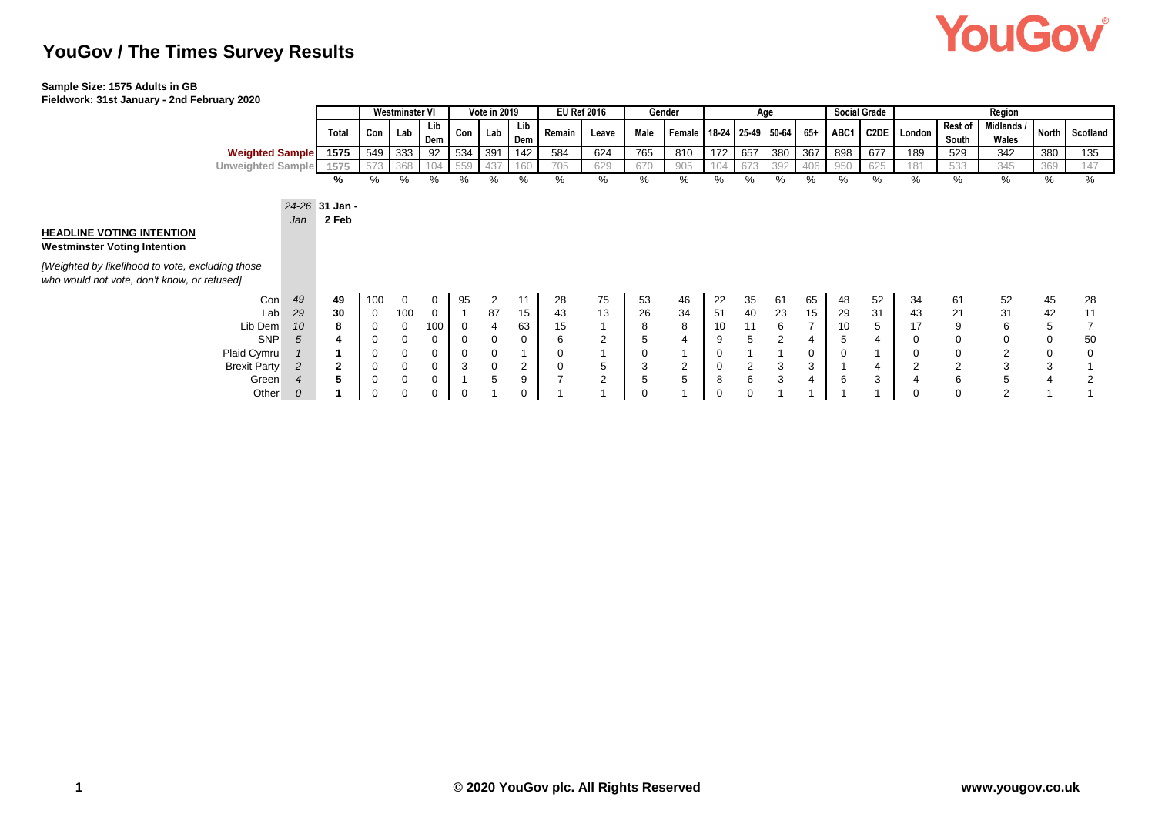# **YouGov**

## **YouGov / The Times Survey Results**

#### **Sample Size: 1575 Adults in GB**

**Fieldwork: 31st January - 2nd February 2020**

|                                                                                                                                                                            |                |                         | <b>Westminster VI</b> |             |            |                | <b>Vote in 2019</b> |                |                                  | <b>Social Grade</b><br><b>EU Ref 2016</b><br>Gender<br>Age |             |        |             |                |                         |                | Region |     |                  |                         |                     |                |                |
|----------------------------------------------------------------------------------------------------------------------------------------------------------------------------|----------------|-------------------------|-----------------------|-------------|------------|----------------|---------------------|----------------|----------------------------------|------------------------------------------------------------|-------------|--------|-------------|----------------|-------------------------|----------------|--------|-----|------------------|-------------------------|---------------------|----------------|----------------|
|                                                                                                                                                                            |                | Total                   | Con                   | Lab         | Lib<br>Dem | Con            | Lab                 | Lib<br>Dem     | Remain                           | Leave                                                      | Male        | Female |             |                | $18-24$ 25-49 50-64 65+ |                |        |     | ABC1 C2DE London | <b>Rest of</b><br>South | Midlands /<br>Wales |                | North Scotland |
| <b>Weighted Sample</b>                                                                                                                                                     |                | 1575                    | 549                   | 333         | 92         | 534            | 391                 | 142            | 584                              | 624                                                        | 765         | 810    | 172         | 657            | 380                     | 367            | 898    | 677 | 189              | 529                     | 342                 | 380            | 135            |
| <b>Unweighted Sample</b>                                                                                                                                                   |                | 1575                    |                       | 368         |            |                | 437                 | 160            | 705                              | 629                                                        | 670         | 905    | 104         | 673            | 392                     | 406            | 950    | 625 | 181              | 533                     | 345                 | 369            | 147            |
|                                                                                                                                                                            |                | %                       | %                     | %           | %          | %              | %                   | %              | %                                | %                                                          | %           | %      | %           | ℅              | %                       | %              | ℅      | %   | %                | %                       | %                   | %              | %              |
| <b>HEADLINE VOTING INTENTION</b><br><b>Westminster Voting Intention</b><br>[Weighted by likelihood to vote, excluding those<br>who would not vote, don't know, or refused] | Jan            | 24-26 31 Jan -<br>2 Feb |                       |             |            |                |                     |                |                                  |                                                            |             |        |             |                |                         |                |        |     |                  |                         |                     |                |                |
| Con                                                                                                                                                                        | 49             | 49                      | 100                   | 0           | 0          | 95             | $\overline{2}$      | 11             | 28                               | 75                                                         | 53          | 46     | 22          | 35             | 61                      | 65             | 48     | 52  | 34               | 61                      | 52                  | 45             | 28             |
| Lab                                                                                                                                                                        | 29             | 30                      | $\mathbf 0$           | 100         | 0          | $\overline{1}$ | 87                  | 15             | 43                               | 13                                                         | 26          | 34     | 51          | 40             | 23                      | 15             | 29     | 31  | 43               | 21                      | 31                  | 42             | 11             |
| Lib Dem                                                                                                                                                                    | 10             | 8                       | 0                     | 0           | 100        | $\mathbf 0$    | 4                   | 63             | 15                               |                                                            | 8           | 8      | 10          | 11             | 6                       | $\overline{7}$ | 10     | 5   | 17               | 9                       | 6                   | 5              |                |
| <b>SNP</b>                                                                                                                                                                 | 5              | 4                       | 0                     | $\mathbf 0$ | 0          | 0              | $\mathbf 0$         | $\mathbf 0$    | 6                                | 2                                                          | 5           |        | 9           | 5              | 2                       | 4              | 5      |     | 0                | 0                       | $\mathbf 0$         | 0              | 50             |
| Plaid Cymru                                                                                                                                                                |                |                         | 0                     | $\mathbf 0$ | 0          | 0              | $\mathbf 0$         |                | $\mathbf 0$                      |                                                            | $\mathbf 0$ |        | 0           |                |                         | 0              |        |     | 0                | 0                       | $\overline{2}$      | $\mathbf 0$    | 0              |
| <b>Brexit Party</b>                                                                                                                                                        | $\overline{c}$ | $\mathbf{2}$            | 0                     | 0           | 0          | 3              | $\mathbf 0$         | $\overline{2}$ | $\overline{0}$<br>$\overline{ }$ | 5                                                          | 3           | 2      | 0           | $\overline{2}$ | 3                       | 3              |        | 4   | $\overline{2}$   | $\overline{2}$          | 3                   | 3              |                |
| Green                                                                                                                                                                      | $\overline{4}$ | 5                       | $\mathbf 0$           | $\mathbf 0$ | 0          | -4             | 5                   | 9              |                                  | $\overline{2}$                                             | 5           | 5      | 8           | 6              | 3                       | 4              | 6      | 3   |                  | 6                       | 5                   | $\overline{4}$ | $\overline{2}$ |
| Other                                                                                                                                                                      | $\theta$       |                         | 0                     | $\Omega$    |            | 0              |                     | 0              |                                  |                                                            | $\mathbf 0$ |        | $\mathbf 0$ | $\Omega$       |                         |                |        |     | 0                | $\Omega$                | $\overline{2}$      |                |                |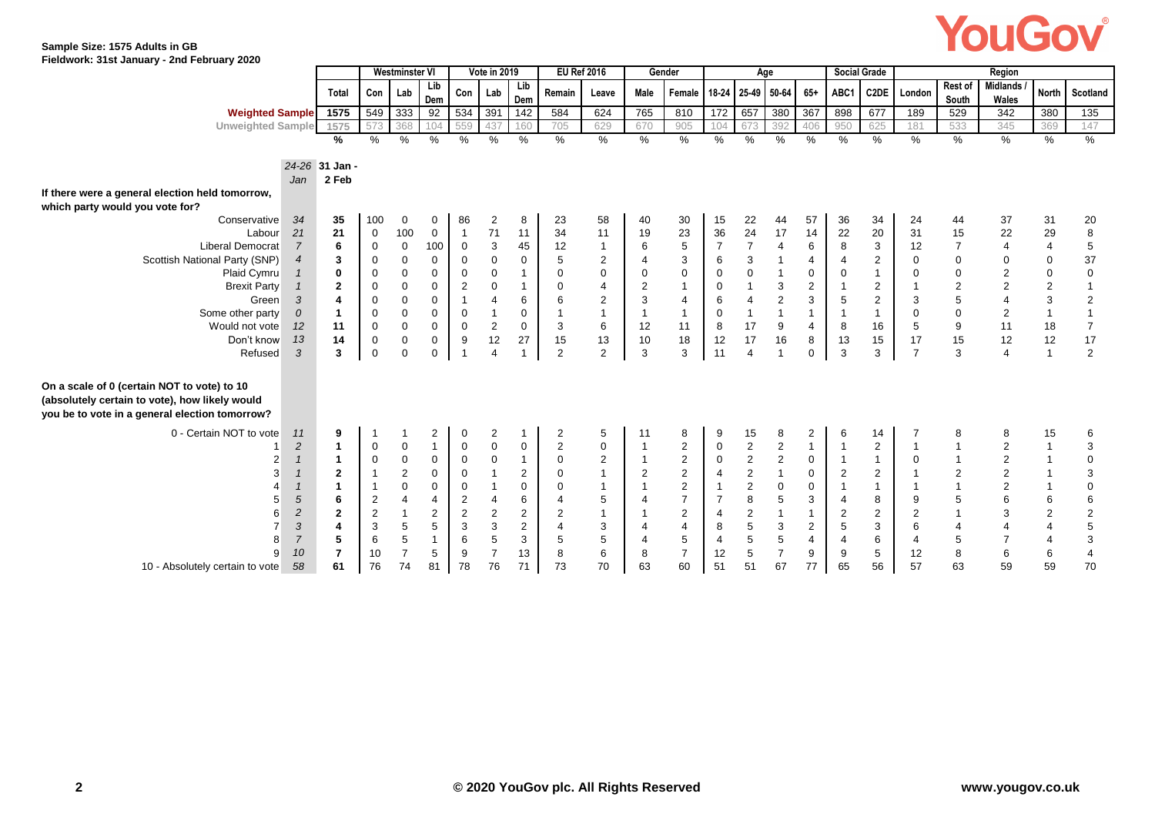# YouGov®

#### **Sample Size: 1575 Adults in GB Fieldwork: 31st January - 2nd February 2020**

|                                                 |                |                         |                | <b>Westminster VI</b> |                |                         | Vote in 2019   |                |                | <b>EU Ref 2016</b> |                | Gender                   |                  |                | Age            |                |                | <b>Social Grade</b>       |                |                  | Region                   |                |                           |
|-------------------------------------------------|----------------|-------------------------|----------------|-----------------------|----------------|-------------------------|----------------|----------------|----------------|--------------------|----------------|--------------------------|------------------|----------------|----------------|----------------|----------------|---------------------------|----------------|------------------|--------------------------|----------------|---------------------------|
|                                                 |                | Total                   | Con            | Lab                   | Lib<br>Dem     |                         | Con Lab        | Lib<br>Dem     | Remain         | Leave              | Male           | Female 18-24 25-49 50-64 |                  |                |                | $65+$          | ABC1           | C2DE                      | London         | Rest of<br>South | <b>Midlands</b><br>Wales | <b>North</b>   | Scotland                  |
| <b>Weighted Sample</b>                          |                | 1575                    | 549            | 333                   | 92             |                         | 534 391        | 142            | 584            | 624                | 765            | 810                      | 172              | 657            | 380            | 367            | 898            | 677                       | 189            | 529              | 342                      | 380            | 135                       |
| <b>Unweighted Sample</b>                        |                | 1575                    | 573            | 368                   | 104            | 559                     | 437            | 160            | 705            | 629                | 670            | 905                      | 104              | 673            | 392            | 406            | 950            | 625                       | 181            | 533              | 345                      | 369            | 147                       |
|                                                 |                | %                       | $\%$           | $\frac{0}{0}$         | %              | %                       | %              | %              | $\frac{0}{6}$  | $\frac{0}{6}$      | %              | $\%$                     | $\%$             | %              | %              | %              | %              | %                         | %              | $\%$             | %                        | %              | $\%$                      |
|                                                 |                |                         |                |                       |                |                         |                |                |                |                    |                |                          |                  |                |                |                |                |                           |                |                  |                          |                |                           |
|                                                 |                | 24-26 31 Jan -          |                |                       |                |                         |                |                |                |                    |                |                          |                  |                |                |                |                |                           |                |                  |                          |                |                           |
|                                                 | Jan            | 2 Feb                   |                |                       |                |                         |                |                |                |                    |                |                          |                  |                |                |                |                |                           |                |                  |                          |                |                           |
| If there were a general election held tomorrow, |                |                         |                |                       |                |                         |                |                |                |                    |                |                          |                  |                |                |                |                |                           |                |                  |                          |                |                           |
| which party would you vote for?                 |                |                         |                |                       |                |                         |                |                |                |                    |                |                          |                  |                |                |                |                |                           |                |                  |                          |                |                           |
| Conservative                                    | 34             | 35                      | 100            | 0                     | 0              | 86                      | 2              | 8              | 23             | 58                 | 40             | 30                       | 15               | 22             | 44             | 57             | 36             | 34                        | 24             | 44               | 37                       | 31             | 20                        |
| Labour                                          | 21             | 21                      | $\mathbf 0$    | 100                   | $\mathbf 0$    | $\overline{1}$          | 71             | 11             | 34             | 11                 | 19             | 23                       | 36               | 24             | 17             | 14             | 22             | 20                        | 31             | 15               | 22                       | 29             | $\bf 8$                   |
| <b>Liberal Democrat</b>                         | 7              | 6                       | $\mathbf 0$    | $\mathsf 0$           | 100            | $\mathbf 0$             | 3              | 45             | 12             | $\mathbf 1$        | 6              | 5                        | $\overline{7}$   | $\overline{7}$ | 4              | 6              | 8              | $\ensuremath{\mathsf{3}}$ | 12             | $\overline{7}$   | $\overline{4}$           | $\overline{4}$ | $\sqrt{5}$                |
| Scottish National Party (SNP)                   | 4              | 3                       | $\mathbf 0$    | $\mathsf 0$           | 0              | $\mathbf 0$             | $\mathbf 0$    | 0              | 5              | $\overline{2}$     | $\overline{4}$ | 3                        | 6                | 3              |                | $\overline{4}$ | 4              | $\overline{c}$            | $\mathbf 0$    | $\mathbf 0$      | 0                        | 0              | 37                        |
| Plaid Cymru                                     |                | 0                       | $\mathbf 0$    | $\mathsf 0$           | 0              | 0                       | $\pmb{0}$      | $\mathbf{1}$   | 0              | 0                  | $\mathbf 0$    | $\mathbf 0$              | $\pmb{0}$        | $\mathbf 0$    |                | 0              | 0              | $\overline{1}$            | $\mathbf 0$    | $\mathsf 0$      | $\overline{c}$           | $\mathbf 0$    | $\pmb{0}$                 |
| <b>Brexit Party</b>                             |                | $\mathbf{2}$            | 0              | $\pmb{0}$             | 0              | $\overline{c}$          | 0              | $\mathbf{1}$   | 0              | $\overline{4}$     | $\overline{2}$ | $\mathbf{1}$             | $\pmb{0}$        |                | 3              | $\overline{2}$ | $\overline{1}$ | $\overline{\mathbf{c}}$   |                | $\sqrt{2}$       | $\overline{c}$           | $\overline{c}$ | $\mathbf{1}$              |
| Green                                           | 3              | 4                       | $\mathbf 0$    | $\mathsf 0$           | 0              |                         | 4              | 6              | 6              | $\overline{c}$     | 3              | $\overline{4}$           | $\,6\,$          | $\overline{4}$ | $\sqrt{2}$     | 3              | 5              | $\overline{c}$            | 3              | 5                | $\overline{4}$           | 3              | $\sqrt{2}$                |
| Some other party                                | 0              | $\mathbf{1}$            | $\mathbf 0$    | $\mathsf 0$           | 0              | $\mathbf 0$             |                | 0              | -1             | $\mathbf{1}$       |                | $\mathbf{1}$             | $\boldsymbol{0}$ |                |                | $\mathbf{1}$   | $\overline{1}$ | $\overline{1}$            | 0              | $\mathbf 0$      | $\overline{2}$           | $\mathbf{1}$   | $\overline{1}$            |
| Would not vote                                  | 12             | 11                      | $\mathbf 0$    | $\mathsf 0$           | 0              | $\mathbf 0$             | 2              | 0              | 3              | 6                  | 12             | 11                       | 8                | 17             | 9              | $\overline{4}$ | 8              | 16                        | 5              | 9                | 11                       | 18             | $\overline{7}$            |
| Don't know                                      | 13             | 14                      | 0              | $\mathbf 0$           | 0              | 9                       | 12             | 27             | 15             | 13                 | 10             | 18                       | 12               | 17             | 16             | 8              | 13             | 15                        | 17             | 15               | 12                       | 12             | 17                        |
| Refused                                         | 3              | 3                       | $\mathbf 0$    | $\mathbf 0$           | $\mathbf 0$    | $\overline{\mathbf{1}}$ | Δ              | 1              | $\overline{2}$ | 2                  | 3              | 3                        | 11               | $\overline{4}$ |                | $\mathbf 0$    | 3              | 3                         | $\overline{7}$ | 3                | $\overline{4}$           | $\overline{1}$ | $\overline{2}$            |
|                                                 |                |                         |                |                       |                |                         |                |                |                |                    |                |                          |                  |                |                |                |                |                           |                |                  |                          |                |                           |
| On a scale of 0 (certain NOT to vote) to 10     |                |                         |                |                       |                |                         |                |                |                |                    |                |                          |                  |                |                |                |                |                           |                |                  |                          |                |                           |
| (absolutely certain to vote), how likely would  |                |                         |                |                       |                |                         |                |                |                |                    |                |                          |                  |                |                |                |                |                           |                |                  |                          |                |                           |
| you be to vote in a general election tomorrow?  |                |                         |                |                       |                |                         |                |                |                |                    |                |                          |                  |                |                |                |                |                           |                |                  |                          |                |                           |
| 0 - Certain NOT to vote                         | 11             | 9                       | -1             | -1                    | $\overline{2}$ | $\mathbf 0$             | 2              | $\mathbf 1$    | $\overline{2}$ | 5                  | 11             | 8                        | 9                | 15             | 8              | $\overline{2}$ | 6              | 14                        |                | 8                | 8                        | 15             | 6                         |
|                                                 | $\overline{c}$ | $\mathbf{1}$            | $\overline{0}$ | $\mathbf 0$           | $\mathbf{1}$   | $\mathbf 0$             | 0              | 0              | $\overline{c}$ | $\mathbf 0$        |                | $\overline{2}$           | $\pmb{0}$        | $\overline{c}$ | $\overline{2}$ | $\mathbf{1}$   | $\overline{1}$ | $\overline{\mathbf{c}}$   |                | $\mathbf{1}$     | $\overline{2}$           | $\mathbf{1}$   | 3                         |
|                                                 | $\mathbf{1}$   | $\mathbf{1}$            | $\mathbf 0$    | $\pmb{0}$             | $\mathbf 0$    | $\mathbf 0$             | $\mathbf 0$    | $\mathbf{1}$   | $\mathbf 0$    | $\overline{c}$     | $\overline{1}$ | $\sqrt{2}$               | $\pmb{0}$        | $\overline{2}$ | $\overline{c}$ | $\mathbf 0$    | $\overline{1}$ | $\overline{1}$            | $\mathbf 0$    | $\mathbf{1}$     | $\sqrt{2}$               | $\mathbf{1}$   | $\pmb{0}$                 |
|                                                 | $\mathbf{1}$   | $\mathbf{2}$            | $\overline{1}$ | $\overline{2}$        | $\mathbf 0$    | $\mathbf 0$             |                | $\overline{2}$ | $\mathbf 0$    | $\mathbf{1}$       | $\overline{2}$ | $\overline{2}$           | $\overline{4}$   | $\overline{2}$ | $\mathbf{1}$   | $\mathbf 0$    | $\overline{c}$ | $\overline{c}$            |                | $\sqrt{2}$       | $\overline{c}$           | $\overline{1}$ | $\ensuremath{\mathsf{3}}$ |
|                                                 |                | 1                       | $\overline{1}$ | $\pmb{0}$             | 0              | $\mathbf 0$             |                | 0              | $\mathbf 0$    |                    |                | $\overline{2}$           | $\overline{1}$   | $\overline{2}$ | 0              | $\mathbf 0$    | $\overline{1}$ | $\overline{1}$            |                |                  | $\overline{2}$           | $\mathbf{1}$   | $\pmb{0}$                 |
|                                                 | 5              | 6                       | $\overline{2}$ | $\overline{4}$        | 4              | 2                       | 4              | 6              | $\overline{4}$ | 5                  | 4              | $\overline{7}$           | $\overline{7}$   | 8              | 5              | 3              | $\overline{4}$ | 8                         | 9              | $\sqrt{5}$       | 6                        | 6              | $\,6\,$                   |
|                                                 | $\overline{2}$ | $\mathbf{2}$            | $\overline{2}$ | $\overline{1}$        | 2              | $\overline{2}$          | $\overline{2}$ | $\overline{2}$ | $\overline{2}$ | $\mathbf{1}$       |                | $\overline{2}$           | $\overline{4}$   | $\overline{2}$ |                | $\mathbf{1}$   | $\overline{2}$ | $\overline{2}$            | $\overline{2}$ | $\mathbf{1}$     | 3                        | $\overline{2}$ | $\sqrt{2}$                |
|                                                 | 3              | $\overline{\mathbf{4}}$ | 3              | 5                     | 5              | 3                       | 3              | $\overline{2}$ | $\overline{4}$ | 3                  | 4              | $\overline{4}$           | 8                | 5              | 3              | 2              | 5              | 3                         | 6              | $\overline{4}$   | $\overline{4}$           | $\overline{4}$ | $\mathbf 5$               |
| 8                                               | $\overline{7}$ | 5                       | 6              | 5                     | $\overline{1}$ | 6                       | 5              | 3              | 5              | 5                  | 4              | 5                        | $\overline{4}$   | 5              | 5              | $\overline{4}$ | 4              | 6                         | $\overline{4}$ | 5                | $\overline{7}$           | 4              | $\ensuremath{\mathsf{3}}$ |
|                                                 | 10             | $\overline{7}$          | 10             | $\overline{7}$        | 5              | 9                       | $\overline{7}$ | 13             | 8              | 6                  | 8              | $\overline{7}$           | 12               | 5              | $\overline{7}$ | 9              | 9              | 5                         | 12             | 8                | 6                        | 6              | $\pmb{4}$                 |
| 10 - Absolutely certain to vote                 | 58             | 61                      | 76             | 74                    | 81             | 78                      | 76             | 71             | 73             | 70                 | 63             | 60                       | 51               | 51             | 67             | 77             | 65             | 56                        | 57             | 63               | 59                       | 59             | 70                        |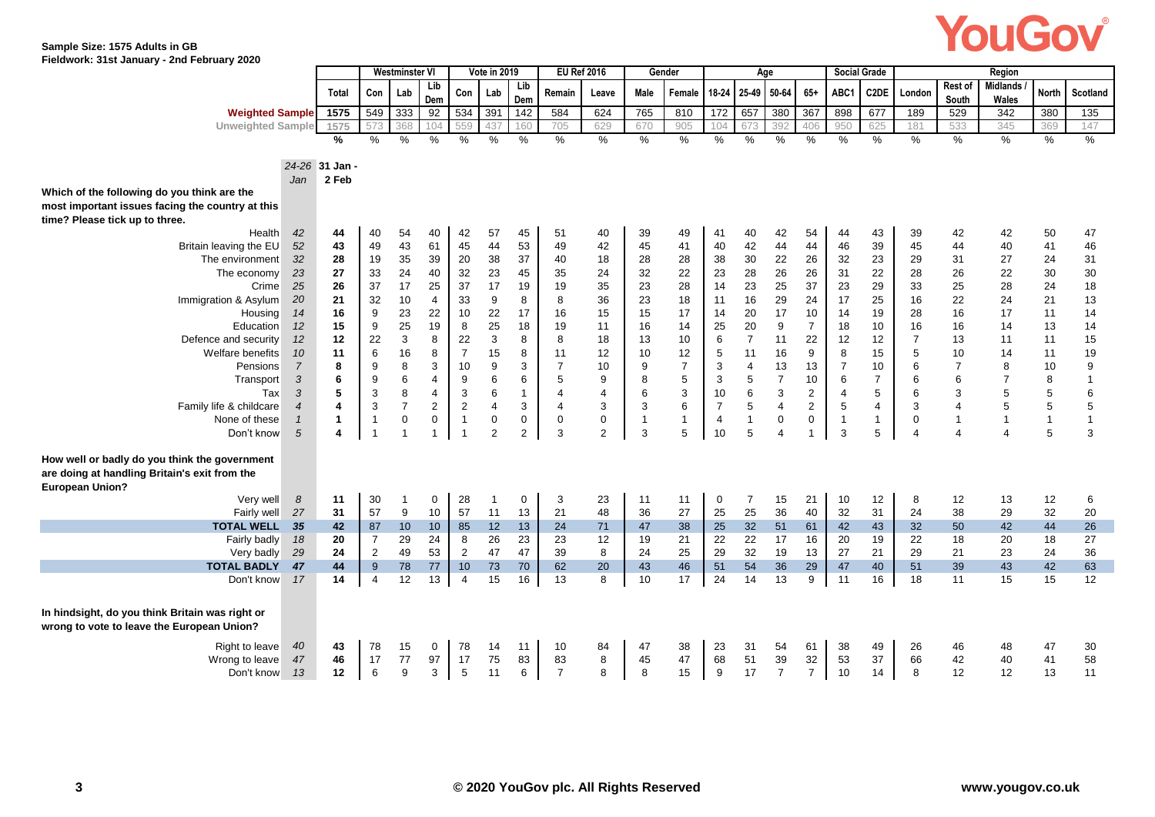

**Sample Size: 1575 Adults in GB Fieldwork: 31st January - 2nd February 2020**

|                                                                                                |                | <b>Westminster VI</b> |                                  | Vote in 2019                  |                | <b>EU Ref 2016</b> |                 |                | Gender         |                | Age          |                |                |                | <b>Social Grade</b>     | Region         |                |                |                         |                         |                       |              |                 |
|------------------------------------------------------------------------------------------------|----------------|-----------------------|----------------------------------|-------------------------------|----------------|--------------------|-----------------|----------------|----------------|----------------|--------------|----------------|----------------|----------------|-------------------------|----------------|----------------|----------------|-------------------------|-------------------------|-----------------------|--------------|-----------------|
|                                                                                                |                |                       |                                  |                               | Lib            | Con                |                 | Lib            | Remain         |                | Male         |                | 18-24          | 25-49          | 50-64                   | $65+$          | ABC1           | C2DE           |                         | <b>Rest of</b>          | <b>Midlands</b>       | <b>North</b> | <b>Scotland</b> |
|                                                                                                |                | <b>Total</b>          | Con                              | Lab                           | Dem            |                    | Lab             | Dem            |                | Leave          |              | Female         |                |                |                         |                |                |                | London                  | South                   | Wales                 |              |                 |
| <b>Weighted Sample</b>                                                                         |                | 1575                  | 549                              | 333                           | 92             | 534                | 391             | 142            | 584            | 624            | 765          | 810            | 172            | 657            | 380                     | 367            | 898            | 677            | 189                     | 529                     | 342                   | 380          | 135             |
| <b>Unweighted Sample</b>                                                                       |                | 1575                  | 573                              | 368                           | 104            | 559                | 437             | 160            | 705            | 629            | 670          | 905            | 104            | 673            | 392                     | 406            | 950            | 625            | 181                     | 533                     | 345                   | 369          | 147             |
|                                                                                                |                | %                     | %                                | %                             | $\%$           | %                  | %               | $\%$           | %              | %              | %            | $\%$           | $\%$           | %              | %                       | $\%$           | %              | %              | $\frac{0}{0}$           | %                       | $\frac{0}{6}$         | $\%$         | $\frac{0}{6}$   |
|                                                                                                |                |                       |                                  |                               |                |                    |                 |                |                |                |              |                |                |                |                         |                |                |                |                         |                         |                       |              |                 |
|                                                                                                |                | 24-26 31 Jan -        |                                  |                               |                |                    |                 |                |                |                |              |                |                |                |                         |                |                |                |                         |                         |                       |              |                 |
|                                                                                                | Jan            | 2 Feb                 |                                  |                               |                |                    |                 |                |                |                |              |                |                |                |                         |                |                |                |                         |                         |                       |              |                 |
| Which of the following do you think are the                                                    |                |                       |                                  |                               |                |                    |                 |                |                |                |              |                |                |                |                         |                |                |                |                         |                         |                       |              |                 |
| most important issues facing the country at this                                               |                |                       |                                  |                               |                |                    |                 |                |                |                |              |                |                |                |                         |                |                |                |                         |                         |                       |              |                 |
| time? Please tick up to three.                                                                 |                |                       |                                  |                               |                |                    |                 |                |                |                |              |                |                |                |                         |                |                |                |                         |                         |                       |              |                 |
| Health                                                                                         | 42             | 44                    | 40                               | 54                            | 40             | 42                 | 57              | 45             | 51             | 40             | 39           | 49             | 41             | 40             | 42                      | 54             | 44             | 43             | 39                      | 42                      | 42                    | 50           | 47              |
| Britain leaving the EU                                                                         | 52             | 43                    | 49                               | 43                            | 61             | 45                 | 44              | 53             | 49             | 42             | 45           | 41             | 40             | 42             | 44                      | 44             | 46             | 39             | 45                      | 44                      | 40                    | 41           | 46              |
| The environment                                                                                | 32             | 28                    | 19                               | 35                            | 39             | 20                 | 38              | 37             | 40             | 18             | 28           | 28             | 38             | 30             | 22                      | 26             | 32             | 23             | 29                      | 31                      | 27                    | 24           | 31              |
| The economy                                                                                    | 23             | 27                    | 33                               | 24                            | 40             | 32                 | 23              | 45             | 35             | 24             | 32           | 22             | 23             | 28             | 26                      | 26             | 31             | 22             | 28                      | 26                      | 22                    | 30           | 30              |
| Crime                                                                                          | 25             | 26                    | 37                               | 17                            | 25             | 37                 | 17              | 19             | 19             | 35             | 23           | 28             | 14             | 23             | 25                      | 37             | 23             | 29             | 33                      | 25                      | 28                    | 24           | 18              |
| Immigration & Asylum                                                                           | 20             | 21                    | 32                               | 10                            | 4              | 33                 | 9               | 8              | 8              | 36             | 23           | 18             | 11             | 16             | 29                      | 24             | 17             | 25             | 16                      | 22                      | 24                    | 21           | 13              |
| Housing                                                                                        | 14             | 16                    | 9                                | 23                            | 22             | 10                 | 22              | 17             | 16             | 15             | 15           | 17             | 14             | 20             | 17                      | 10             | 14             | 19             | 28                      | 16                      | 17                    | 11           | 14              |
| Education                                                                                      | 12             | 15                    | 9                                | 25                            | 19             | 8                  | 25              | 18             | 19             | 11             | 16           | 14             | 25             | 20             | 9                       | $\overline{7}$ | 18             | 10             | 16                      | 16                      | 14                    | 13           | 14              |
| Defence and security                                                                           | 12             | 12                    | 22                               | 3                             | 8              | 22                 | $\mathbf{3}$    | 8              | 8              | 18             | 13           | 10             | 6              | $\overline{7}$ | 11                      | 22             | 12             | 12             | $\overline{7}$          | 13                      | 11                    | 11           | 15              |
| Welfare benefits                                                                               | 10             | 11                    | $\,6\,$                          | 16                            | 8              | $\overline{7}$     | 15              | 8              | 11             | 12             | 10           | 12             | 5              | 11             | 16                      | 9              | 8              | 15             | 5                       | 10                      | 14                    | 11           | 19              |
| Pensions                                                                                       | $\overline{7}$ | 8                     | 9                                | 8                             | 3              | 10                 | 9               | 3              | $\overline{7}$ | 10             | 9            | $\overline{7}$ | $\sqrt{3}$     | $\overline{4}$ | 13                      | 13             | $\overline{7}$ | 10             | 6                       | $\overline{7}$          | 8                     | 10           | 9               |
| Transport                                                                                      | 3              | 6                     | 9                                | 6                             | $\overline{4}$ | 9                  | $6\phantom{1}6$ | 6              | 5              | 9              | 8            | 5              | 3              | 5              | $\overline{7}$          | 10             | 6              | $\overline{7}$ | 6                       | 6                       |                       | 8            |                 |
| Tax                                                                                            | 3              | 5                     | $\mathsf 3$                      | 8                             | $\overline{4}$ | $\mathbf{3}$       | $\,6\,$         | $\mathbf{1}$   | 4              | $\overline{4}$ | $\,6\,$      | 3              | $10$           | 6              | $\sqrt{3}$              | $\mathbf 2$    | $\overline{4}$ | 5              | 6                       | 3                       | 5                     | 5            | 6               |
| Family life & childcare                                                                        | $\overline{4}$ | 4                     | $\mathsf 3$                      | $\overline{7}$                | $\overline{2}$ | $\overline{2}$     | $\overline{4}$  | 3              | $\overline{4}$ | 3              | $\sqrt{3}$   | 6              | $\overline{7}$ | 5              | $\overline{\mathbf{4}}$ | $\overline{2}$ | 5              | $\overline{4}$ | 3                       | 4                       | 5                     | 5            | 5               |
| None of these                                                                                  | $\mathbf{1}$   | 1                     | $\overline{1}$<br>$\overline{1}$ | $\mathsf 0$<br>$\overline{1}$ | $\mathsf 0$    | $\overline{1}$     | $\pmb{0}$       | 0              | 0              | 0              | $\mathbf{1}$ | $\mathbf{1}$   | $\overline{4}$ | $\overline{1}$ | $\pmb{0}$               | 0              | $\overline{1}$ | $\mathbf{1}$   | 0                       | $\overline{1}$          | $\overline{1}$        | $\mathbf{1}$ | $\mathbf{1}$    |
| Don't know                                                                                     | 5              | 4                     |                                  |                               | $\mathbf{1}$   | $\overline{1}$     | $\overline{2}$  | $\overline{2}$ | 3              | $\overline{2}$ | 3            | 5              | 10             | 5              | $\overline{4}$          | $\overline{1}$ | 3              | 5              | $\overline{\mathbf{A}}$ | $\overline{\mathbf{4}}$ | $\boldsymbol{\Delta}$ | 5            | 3               |
| How well or badly do you think the government<br>are doing at handling Britain's exit from the |                |                       |                                  |                               |                |                    |                 |                |                |                |              |                |                |                |                         |                |                |                |                         |                         |                       |              |                 |
| <b>European Union?</b>                                                                         |                |                       |                                  |                               |                |                    |                 |                |                |                |              |                |                |                |                         |                |                |                |                         |                         |                       |              |                 |
| Very well                                                                                      | 8              | 11                    | 30                               | 1                             | 0              | 28                 | -1              | 0              | 3              | 23             | 11           | 11             | 0              | $\overline{7}$ | 15                      | 21             | 10             | 12             | 8                       | 12                      | 13                    | 12           | 6               |
| Fairly well                                                                                    | 27             | 31                    | 57                               | 9                             | 10             | 57                 | 11              | 13             | 21             | 48             | 36           | 27             | 25             | 25             | 36                      | 40             | 32             | 31             | 24                      | 38                      | 29                    | 32           | 20              |
| <b>TOTAL WELL</b>                                                                              | 35             | 42                    | 87                               | 10                            | 10             | 85                 | 12              | 13             | 24             | 71             | 47           | 38             | 25             | 32             | 51                      | 61             | 42             | 43             | 32                      | 50                      | 42                    | 44           | 26              |
| Fairly badly                                                                                   | 18             | 20                    | $\overline{7}$                   | 29                            | 24             | 8                  | 26              | 23             | 23             | 12             | 19           | 21             | 22             | 22             | 17                      | 16             | 20             | 19             | 22                      | 18                      | 20                    | 18           | 27              |
| Very badly                                                                                     | 29             | 24                    | $\overline{2}$                   | 49                            | 53             | $\overline{2}$     | 47              | 47             | 39             | 8              | 24           | 25             | 29             | 32             | 19                      | 13             | 27             | 21             | 29                      | 21                      | 23                    | 24           | 36              |
| <b>TOTAL BADLY</b>                                                                             | 47             | 44                    | 9                                | 78                            | 77             | 10                 | 73              | 70             | 62             | 20             | 43           | 46             | 51             | 54             | 36                      | 29             | 47             | 40             | 51                      | 39                      | 43                    | 42           | 63              |
| Don't know                                                                                     | 17             | 14                    | $\overline{4}$                   | 12                            | 13             | $\overline{4}$     | 15              | 16             | 13             | 8              | 10           | 17             | 24             | 14             | 13                      | 9              | 11             | 16             | 18                      | 11                      | 15                    | 15           | 12              |
|                                                                                                |                |                       |                                  |                               |                |                    |                 |                |                |                |              |                |                |                |                         |                |                |                |                         |                         |                       |              |                 |
| In hindsight, do you think Britain was right or                                                |                |                       |                                  |                               |                |                    |                 |                |                |                |              |                |                |                |                         |                |                |                |                         |                         |                       |              |                 |
| wrong to vote to leave the European Union?                                                     |                |                       |                                  |                               |                |                    |                 |                |                |                |              |                |                |                |                         |                |                |                |                         |                         |                       |              |                 |
| Right to leave                                                                                 | 40             | 43                    | 78                               | 15                            | 0              | 78                 | 14              | 11             | 10             | 84             | 47           | 38             | 23             | 31             | 54                      | 61             | 38             | 49             | 26                      | 46                      | 48                    | 47           | 30              |
| Wrong to leave                                                                                 | 47             | 46                    | 17                               | 77                            | 97             | 17                 | 75              | 83             | 83             | 8              | 45           | 47             | 68             | 51             | 39                      | 32             | 53             | 37             | 66                      | 42                      | 40                    | 41           | 58              |
| Don't know                                                                                     | 13             | 12                    | 6                                | 9                             | 3              | 5                  | 11              | 6              | $\overline{7}$ | 8              | 8            | 15             | 9              | 17             | $\overline{7}$          | $\overline{7}$ | 10             | 14             | 8                       | 12                      | 12                    | 13           | 11              |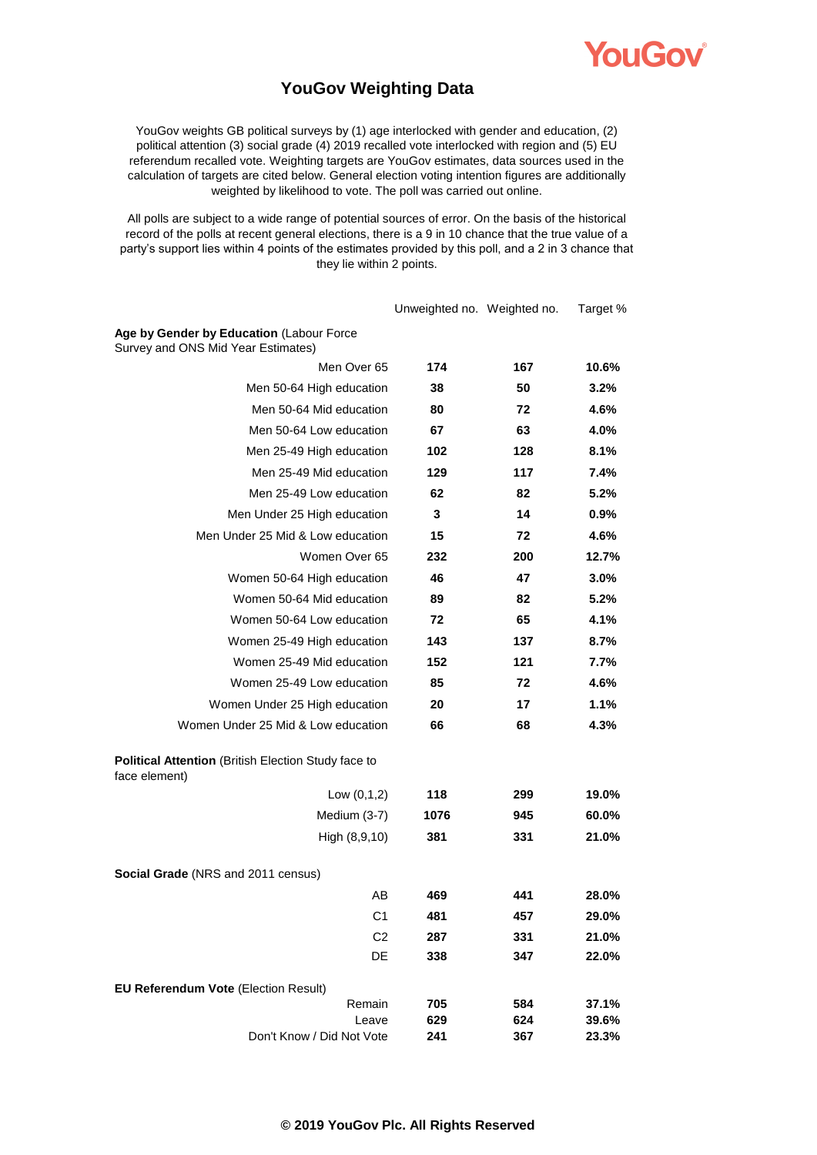YOUGOV

### **YouGov Weighting Data**

YouGov weights GB political surveys by (1) age interlocked with gender and education, (2) political attention (3) social grade (4) 2019 recalled vote interlocked with region and (5) EU referendum recalled vote. Weighting targets are YouGov estimates, data sources used in the calculation of targets are cited below. General election voting intention figures are additionally weighted by likelihood to vote. The poll was carried out online.

All polls are subject to a wide range of potential sources of error. On the basis of the historical record of the polls at recent general elections, there is a 9 in 10 chance that the true value of a party's support lies within 4 points of the estimates provided by this poll, and a 2 in 3 chance that they lie within 2 points.

|                                                                                | Unweighted no. Weighted no. |            | Target %       |
|--------------------------------------------------------------------------------|-----------------------------|------------|----------------|
| Age by Gender by Education (Labour Force<br>Survey and ONS Mid Year Estimates) |                             |            |                |
| Men Over 65                                                                    | 174                         | 167        | 10.6%          |
| Men 50-64 High education                                                       | 38                          | 50         | 3.2%           |
| Men 50-64 Mid education                                                        | 80                          | 72         | 4.6%           |
| Men 50-64 Low education                                                        | 67                          | 63         | 4.0%           |
| Men 25-49 High education                                                       | 102                         | 128        | 8.1%           |
| Men 25-49 Mid education                                                        | 129                         | 117        | 7.4%           |
| Men 25-49 Low education                                                        | 62                          | 82         | 5.2%           |
| Men Under 25 High education                                                    | 3                           | 14         | 0.9%           |
| Men Under 25 Mid & Low education                                               | 15                          | 72         | 4.6%           |
| Women Over 65                                                                  | 232                         | 200        | 12.7%          |
| Women 50-64 High education                                                     | 46                          | 47         | 3.0%           |
| Women 50-64 Mid education                                                      | 89                          | 82         | 5.2%           |
| Women 50-64 Low education                                                      | 72                          | 65         | 4.1%           |
| Women 25-49 High education                                                     | 143                         | 137        | 8.7%           |
| Women 25-49 Mid education                                                      | 152                         | 121        | 7.7%           |
| Women 25-49 Low education                                                      | 85                          | 72         | 4.6%           |
| Women Under 25 High education                                                  | 20                          | 17         | 1.1%           |
| Women Under 25 Mid & Low education                                             | 66                          | 68         | 4.3%           |
| Political Attention (British Election Study face to<br>face element)           |                             |            |                |
| Low $(0,1,2)$                                                                  | 118                         | 299        | 19.0%          |
| Medium (3-7)                                                                   | 1076                        | 945        | 60.0%          |
| High (8,9,10)                                                                  | 381                         | 331        | 21.0%          |
| <b>Social Grade</b> (NRS and 2011 census)                                      |                             |            |                |
| AB                                                                             | 469                         | 441        | 28.0%          |
| C <sub>1</sub>                                                                 | 481                         | 457        | 29.0%          |
| C <sub>2</sub>                                                                 | 287                         | 331        | 21.0%          |
| DE                                                                             | 338                         | 347        | 22.0%          |
| EU Referendum Vote (Election Result)                                           |                             |            |                |
| Remain<br>Leave                                                                | 705                         | 584        | 37.1%          |
| Don't Know / Did Not Vote                                                      | 629<br>241                  | 624<br>367 | 39.6%<br>23.3% |